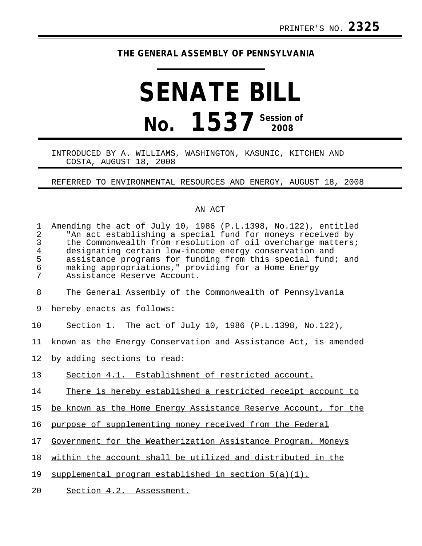## **THE GENERAL ASSEMBLY OF PENNSYLVANIA**

## **SENATE BILL No. 1537 Session of 2008**

## INTRODUCED BY A. WILLIAMS, WASHINGTON, KASUNIC, KITCHEN AND COSTA, AUGUST 18, 2008

REFERRED TO ENVIRONMENTAL RESOURCES AND ENERGY, AUGUST 18, 2008

## AN ACT

| $\mathbf{1}$<br>$\overline{2}$<br>$\mathsf 3$<br>$\overline{4}$<br>5<br>6<br>7 | Amending the act of July 10, 1986 (P.L.1398, No.122), entitled<br>"An act establishing a special fund for moneys received by<br>the Commonwealth from resolution of oil overcharge matters;<br>designating certain low-income energy conservation and<br>assistance programs for funding from this special fund; and<br>making appropriations," providing for a Home Energy<br>Assistance Reserve Account. |
|--------------------------------------------------------------------------------|------------------------------------------------------------------------------------------------------------------------------------------------------------------------------------------------------------------------------------------------------------------------------------------------------------------------------------------------------------------------------------------------------------|
| 8                                                                              | The General Assembly of the Commonwealth of Pennsylvania                                                                                                                                                                                                                                                                                                                                                   |
| 9                                                                              | hereby enacts as follows:                                                                                                                                                                                                                                                                                                                                                                                  |
| 10                                                                             | Section 1. The act of July 10, 1986 (P.L.1398, No.122),                                                                                                                                                                                                                                                                                                                                                    |
| 11                                                                             | known as the Energy Conservation and Assistance Act, is amended                                                                                                                                                                                                                                                                                                                                            |
| 12                                                                             | by adding sections to read:                                                                                                                                                                                                                                                                                                                                                                                |
| 13                                                                             | Section 4.1. Establishment of restricted account.                                                                                                                                                                                                                                                                                                                                                          |
| 14                                                                             | There is hereby established a restricted receipt account to                                                                                                                                                                                                                                                                                                                                                |
| 15                                                                             | be known as the Home Energy Assistance Reserve Account, for the                                                                                                                                                                                                                                                                                                                                            |
| 16                                                                             | purpose of supplementing money received from the Federal                                                                                                                                                                                                                                                                                                                                                   |
| 17                                                                             | Government for the Weatherization Assistance Program. Moneys                                                                                                                                                                                                                                                                                                                                               |
| 18                                                                             | within the account shall be utilized and distributed in the                                                                                                                                                                                                                                                                                                                                                |
| 19                                                                             | supplemental program established in section $5(a)(1)$ .                                                                                                                                                                                                                                                                                                                                                    |
| 20                                                                             | Section 4.2. Assessment.                                                                                                                                                                                                                                                                                                                                                                                   |